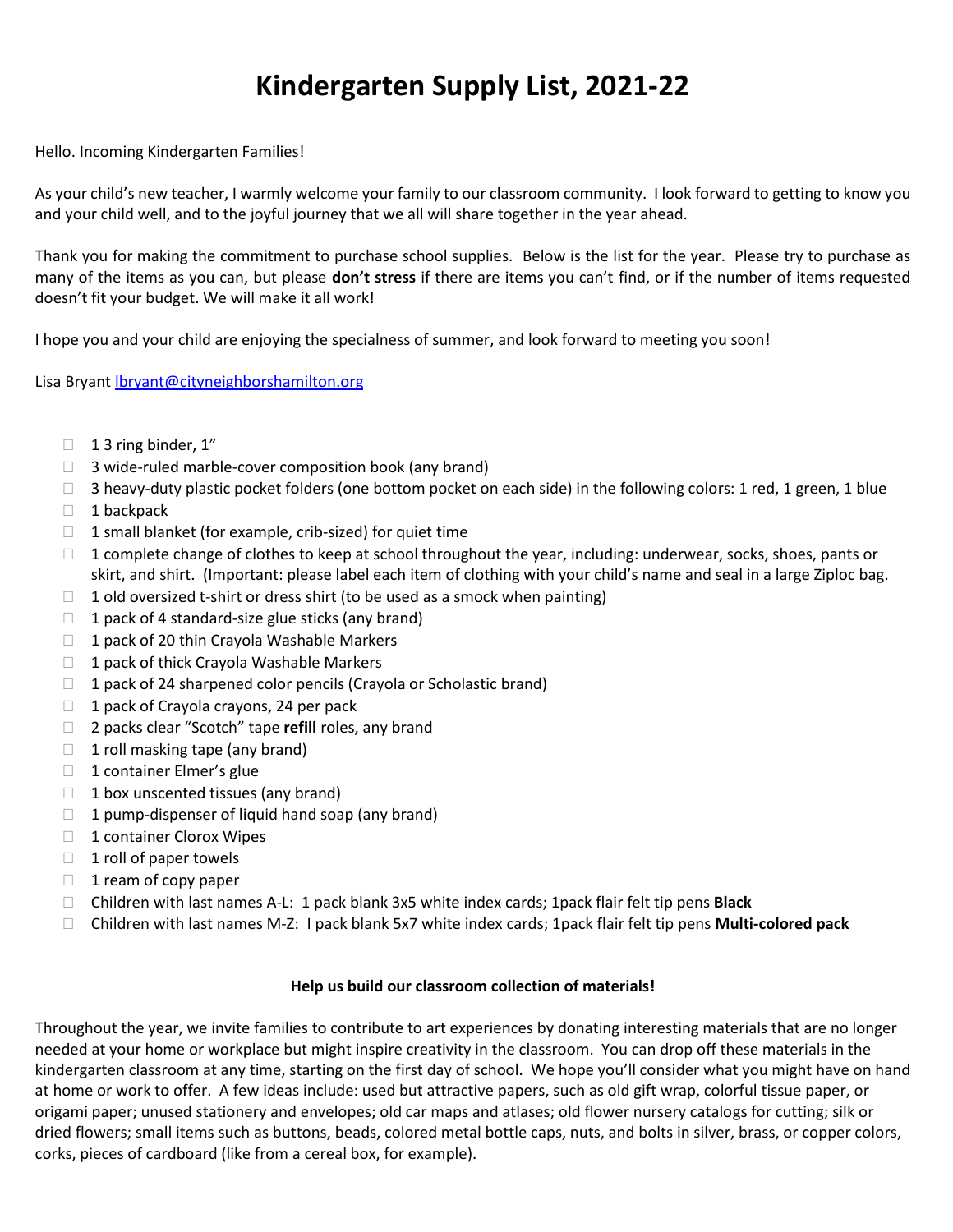### **Kindergarten Supply List, 2021-22**

Hello. Incoming Kindergarten Families!

As your child's new teacher, I warmly welcome your family to our classroom community. I look forward to getting to know you and your child well, and to the joyful journey that we all will share together in the year ahead.

Thank you for making the commitment to purchase school supplies. Below is the list for the year. Please try to purchase as many of the items as you can, but please **don't stress** if there are items you can't find, or if the number of items requested doesn't fit your budget. We will make it all work!

I hope you and your child are enjoying the specialness of summer, and look forward to meeting you soon!

Lisa Bryant [lbryant@cityneighborshamilton.org](mailto:lbryant@cityneighborshamilton.org)

- $\Box$  1 3 ring binder, 1"
- $\Box$  3 wide-ruled marble-cover composition book (any brand)
- $\Box$  3 heavy-duty plastic pocket folders (one bottom pocket on each side) in the following colors: 1 red, 1 green, 1 blue
- $\Box$  1 backpack
- $\Box$  1 small blanket (for example, crib-sized) for quiet time
- $\Box$  1 complete change of clothes to keep at school throughout the year, including: underwear, socks, shoes, pants or skirt, and shirt. (Important: please label each item of clothing with your child's name and seal in a large Ziploc bag.
- $\Box$  1 old oversized t-shirt or dress shirt (to be used as a smock when painting)
- $\Box$  1 pack of 4 standard-size glue sticks (any brand)
- $\Box$  1 pack of 20 thin Crayola Washable Markers
- $\Box$  1 pack of thick Crayola Washable Markers
- $\Box$  1 pack of 24 sharpened color pencils (Crayola or Scholastic brand)
- $\Box$  1 pack of Crayola crayons, 24 per pack
- 2 packs clear "Scotch" tape **refill** roles, any brand
- $\Box$  1 roll masking tape (any brand)
- $\Box$  1 container Elmer's glue
- $\Box$  1 box unscented tissues (any brand)
- $\Box$  1 pump-dispenser of liquid hand soap (any brand)
- □ 1 container Clorox Wipes
- $\Box$  1 roll of paper towels
- $\Box$  1 ream of copy paper
- Children with last names A-L: 1 pack blank 3x5 white index cards; 1pack flair felt tip pens **Black**
- Children with last names M-Z: I pack blank 5x7 white index cards; 1pack flair felt tip pens **Multi-colored pack**

#### **Help us build our classroom collection of materials!**

Throughout the year, we invite families to contribute to art experiences by donating interesting materials that are no longer needed at your home or workplace but might inspire creativity in the classroom. You can drop off these materials in the kindergarten classroom at any time, starting on the first day of school. We hope you'll consider what you might have on hand at home or work to offer. A few ideas include: used but attractive papers, such as old gift wrap, colorful tissue paper, or origami paper; unused stationery and envelopes; old car maps and atlases; old flower nursery catalogs for cutting; silk or dried flowers; small items such as buttons, beads, colored metal bottle caps, nuts, and bolts in silver, brass, or copper colors, corks, pieces of cardboard (like from a cereal box, for example).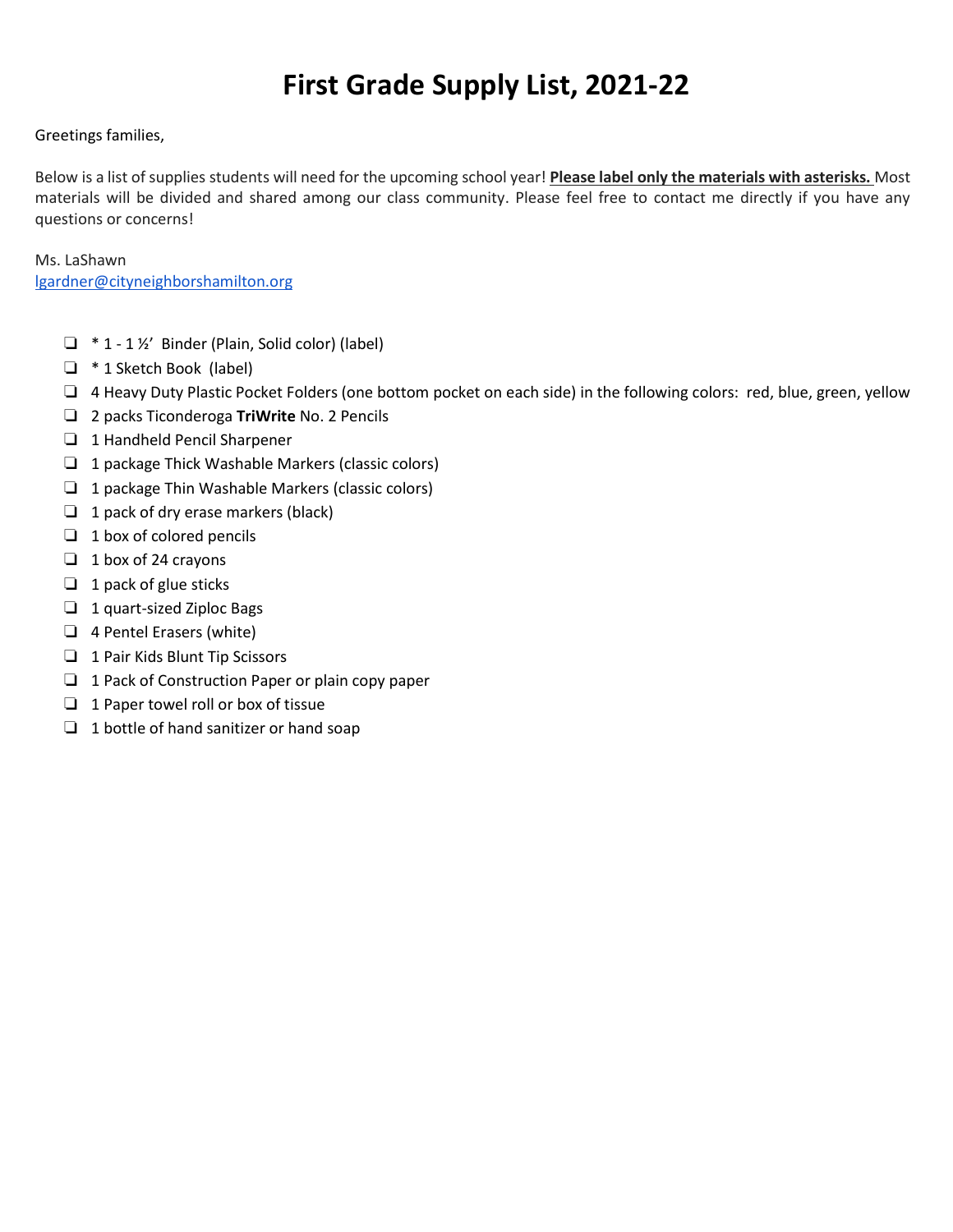### **First Grade Supply List, 2021-22**

#### Greetings families,

Below is a list of supplies students will need for the upcoming school year! **Please label only the materials with asterisks.** Most materials will be divided and shared among our class community. Please feel free to contact me directly if you have any questions or concerns!

Ms. LaShawn [lgardner@cityneighborshamilton.org](mailto:lgardner@cityneighborshamilton.org)

- $\Box$  \* 1 1 ½' Binder (Plain, Solid color) (label)
- ❏ \* 1 Sketch Book (label)
- ❏ 4 Heavy Duty Plastic Pocket Folders (one bottom pocket on each side) in the following colors: red, blue, green, yellow
- ❏ 2 packs Ticonderoga **TriWrite** No. 2 Pencils
- ❏ 1 Handheld Pencil Sharpener
- ❏ 1 package Thick Washable Markers (classic colors)
- ❏ 1 package Thin Washable Markers (classic colors)
- ❏ 1 pack of dry erase markers (black)
- ❏ 1 box of colored pencils
- ❏ 1 box of 24 crayons
- ❏ 1 pack of glue sticks
- ❏ 1 quart-sized Ziploc Bags
- ❏ 4 Pentel Erasers (white)
- ❏ 1 Pair Kids Blunt Tip Scissors
- ❏ 1 Pack of Construction Paper or plain copy paper
- ❏ 1 Paper towel roll or box of tissue
- ❏ 1 bottle of hand sanitizer or hand soap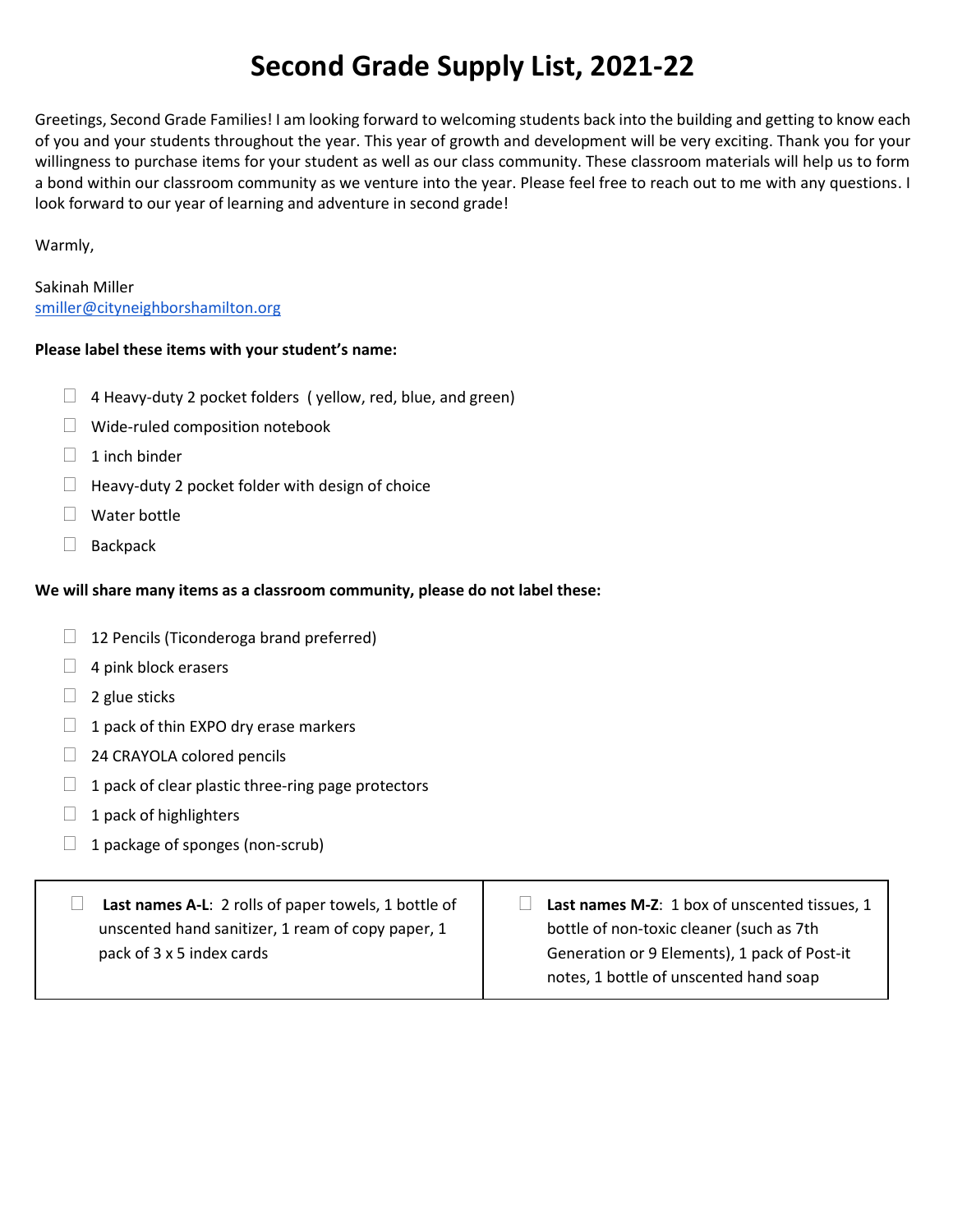### **Second Grade Supply List, 2021-22**

Greetings, Second Grade Families! I am looking forward to welcoming students back into the building and getting to know each of you and your students throughout the year. This year of growth and development will be very exciting. Thank you for your willingness to purchase items for your student as well as our class community. These classroom materials will help us to form a bond within our classroom community as we venture into the year. Please feel free to reach out to me with any questions. I look forward to our year of learning and adventure in second grade!

Warmly,

Sakinah Miller [smiller@cityneighborshamilton.org](mailto:smiller@cityneighborshamilton.org)

#### **Please label these items with your student's name:**

- $\Box$  4 Heavy-duty 2 pocket folders (yellow, red, blue, and green)
- $\Box$  Wide-ruled composition notebook
- $\Box$  1 inch binder
- $\Box$  Heavy-duty 2 pocket folder with design of choice
- □ Water bottle
- Backpack

#### **We will share many items as a classroom community, please do not label these:**

- $\Box$  12 Pencils (Ticonderoga brand preferred)
- $\Box$  4 pink block erasers
- $\Box$  2 glue sticks
- $\Box$  1 pack of thin EXPO dry erase markers
- $\Box$  24 CRAYOLA colored pencils
- $\Box$  1 pack of clear plastic three-ring page protectors
- $\Box$  1 pack of highlighters
- $\Box$  1 package of sponges (non-scrub)

| Last names A-L: 2 rolls of paper towels, 1 bottle of | Last names M-Z: 1 box of unscented tissues, 1                                          |
|------------------------------------------------------|----------------------------------------------------------------------------------------|
| unscented hand sanitizer, 1 ream of copy paper, 1    | bottle of non-toxic cleaner (such as 7th                                               |
| pack of 3 x 5 index cards                            | Generation or 9 Elements), 1 pack of Post-it<br>notes, 1 bottle of unscented hand soap |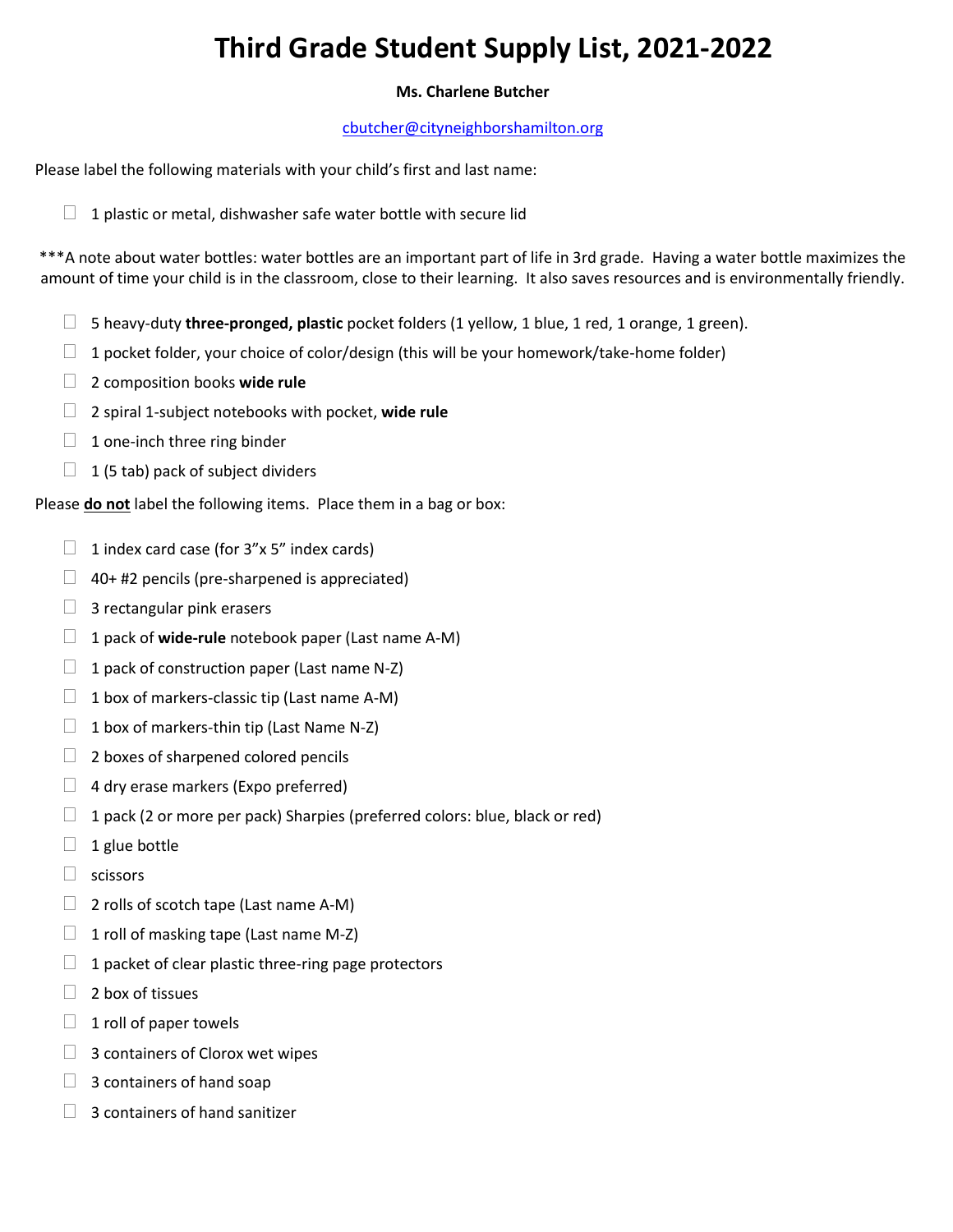## **Third Grade Student Supply List, 2021-2022**

### **Ms. Charlene Butcher**

#### cbutcher@cityneighborshamilton.org

Please label the following materials with your child's first and last name:

 $\Box$  1 plastic or metal, dishwasher safe water bottle with secure lid

\*\*\*A note about water bottles: water bottles are an important part of life in 3rd grade. Having a water bottle maximizes the amount of time your child is in the classroom, close to their learning. It also saves resources and is environmentally friendly.

- 5 heavy-duty **three-pronged, plastic** pocket folders (1 yellow, 1 blue, 1 red, 1 orange, 1 green).
- $\Box$  1 pocket folder, your choice of color/design (this will be your homework/take-home folder)
- 2 composition books **wide rule**
- 2 spiral 1-subject notebooks with pocket, **wide rule**
- $\Box$  1 one-inch three ring binder
- $\Box$  1 (5 tab) pack of subject dividers

Please **do not** label the following items. Place them in a bag or box:

- 1 index card case (for  $3''x$  5" index cards)
- $\Box$  40+ #2 pencils (pre-sharpened is appreciated)
- $\Box$  3 rectangular pink erasers
- $\Box$  1 pack of **wide-rule** notebook paper (Last name A-M)
- $\Box$  1 pack of construction paper (Last name N-Z)
- $\Box$  1 box of markers-classic tip (Last name A-M)
- $\Box$  1 box of markers-thin tip (Last Name N-Z)
- $\Box$  2 boxes of sharpened colored pencils
- $\Box$  4 dry erase markers (Expo preferred)
- $\Box$  1 pack (2 or more per pack) Sharpies (preferred colors: blue, black or red)
- $\Box$  1 glue bottle
- $\Box$  scissors
- $\Box$  2 rolls of scotch tape (Last name A-M)
- $\Box$  1 roll of masking tape (Last name M-Z)
- $\Box$  1 packet of clear plastic three-ring page protectors
- $\Box$  2 box of tissues
- $\Box$  1 roll of paper towels
- $\Box$  3 containers of Clorox wet wipes
- $\Box$  3 containers of hand soap
- $\Box$  3 containers of hand sanitizer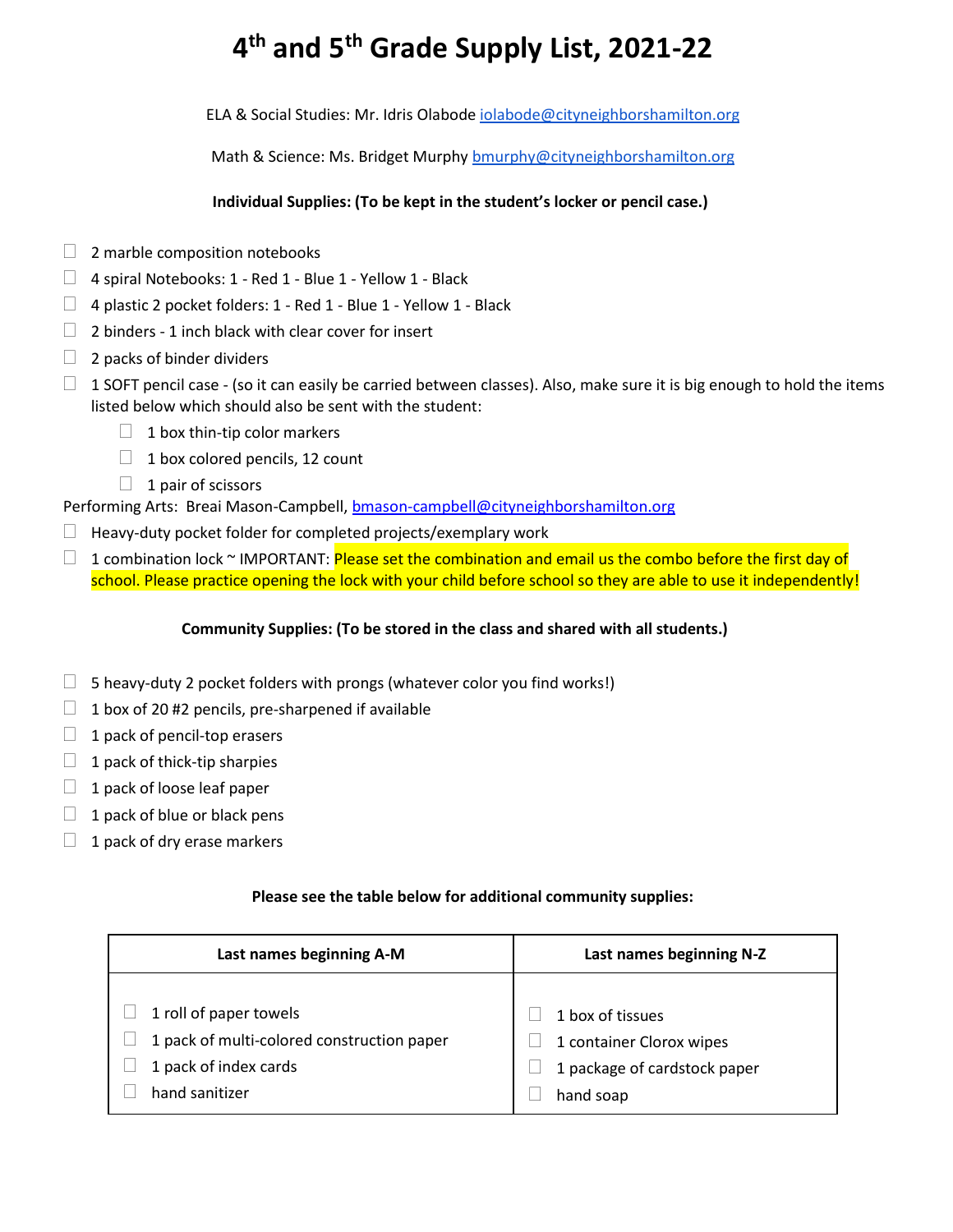# **4 th and 5th Grade Supply List, 2021-22**

ELA & Social Studies: Mr. Idris Olabod[e iolabode@cityneighborshamilton.org](mailto:iolabode@cityneighborshamilton.org)

Math & Science: Ms. Bridget Murphy [bmurphy@cityneighborshamilton.org](mailto:bmurphy@cityneighborshamilton.org)

### **Individual Supplies: (To be kept in the student's locker or pencil case.)**

- $\Box$  2 marble composition notebooks
- $\Box$  4 spiral Notebooks: 1 Red 1 Blue 1 Yellow 1 Black
- $\Box$  4 plastic 2 pocket folders: 1 Red 1 Blue 1 Yellow 1 Black
- $\Box$  2 binders 1 inch black with clear cover for insert
- $\Box$  2 packs of binder dividers
- $\Box$  1 SOFT pencil case (so it can easily be carried between classes). Also, make sure it is big enough to hold the items listed below which should also be sent with the student:
	- $\Box$  1 box thin-tip color markers
	- $\Box$  1 box colored pencils, 12 count
	- $\Box$  1 pair of scissors
- Performing Arts: Breai Mason-Campbell, [bmason-campbell@cityneighborshamilton.org](mailto:bmason-campbell@cityneighborshamilton.org)
- $\Box$  Heavy-duty pocket folder for completed projects/exemplary work
- $\Box$  1 combination lock  $\sim$  IMPORTANT: Please set the combination and email us the combo before the first day of school. Please practice opening the lock with your child before school so they are able to use it independently!

#### **Community Supplies: (To be stored in the class and shared with all students.)**

- $\Box$  5 heavy-duty 2 pocket folders with prongs (whatever color you find works!)
- $\Box$  1 box of 20 #2 pencils, pre-sharpened if available
- $\Box$  1 pack of pencil-top erasers
- $\Box$  1 pack of thick-tip sharpies
- $\Box$  1 pack of loose leaf paper
- $\Box$  1 pack of blue or black pens
- $\Box$  1 pack of dry erase markers

#### **Please see the table below for additional community supplies:**

| Last names beginning A-M                   | Last names beginning N-Z     |
|--------------------------------------------|------------------------------|
| 1 roll of paper towels                     | 1 box of tissues             |
| 1 pack of multi-colored construction paper | 1 container Clorox wipes     |
| 1 pack of index cards                      | 1 package of cardstock paper |
| hand sanitizer                             | hand soap                    |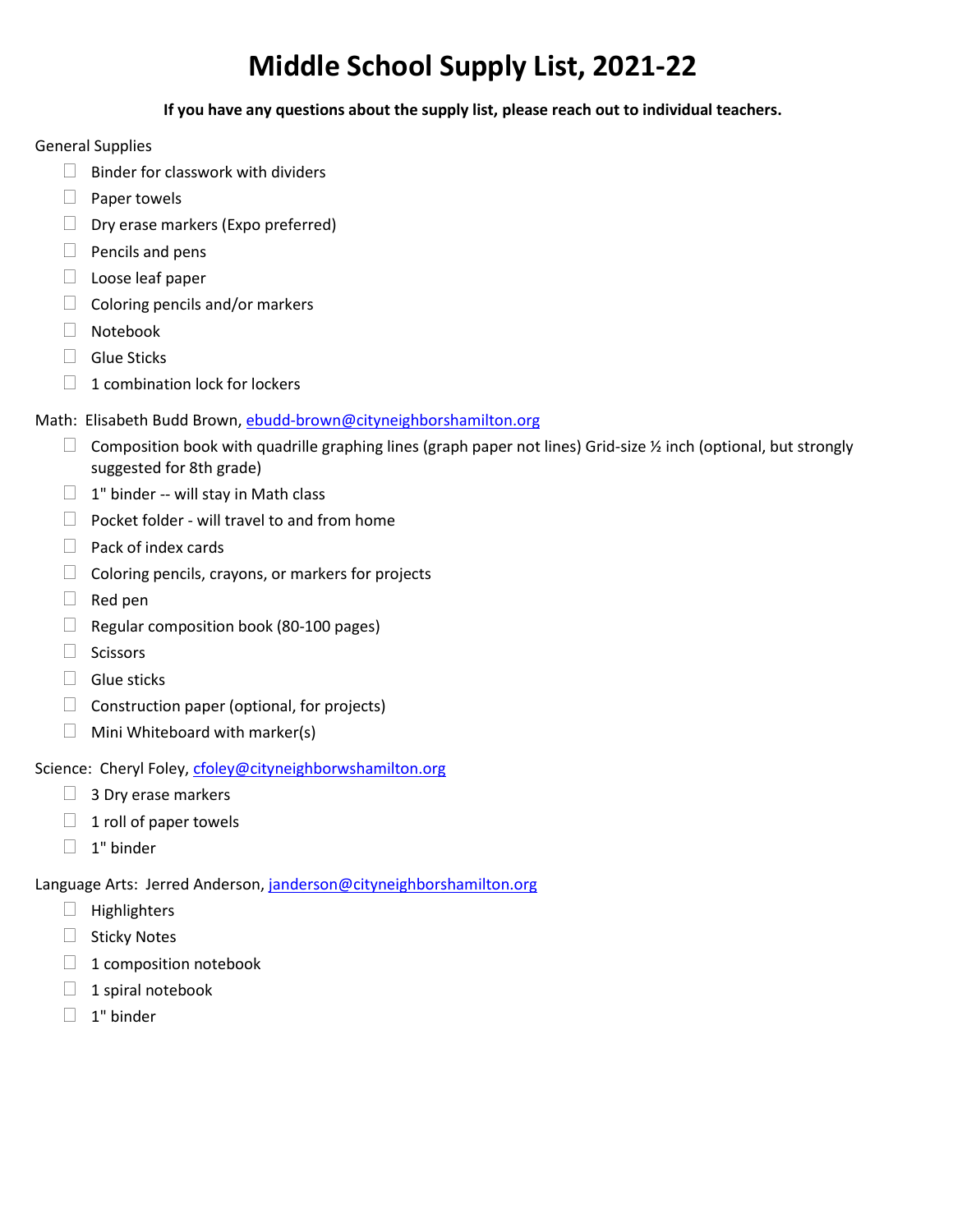### **Middle School Supply List, 2021-22**

**If you have any questions about the supply list, please reach out to individual teachers.**

General Supplies

- $\Box$  Binder for classwork with dividers
- $\Box$  Paper towels
- $\Box$  Dry erase markers (Expo preferred)
- $\Box$  Pencils and pens
- $\Box$  Loose leaf paper
- $\Box$  Coloring pencils and/or markers
- Notebook
- $\Box$  Glue Sticks
- $\Box$  1 combination lock for lockers
- Math: Elisabeth Budd Brown, [ebudd-brown@cityneighborshamilton.org](mailto:ebudd-brown@cityneighborshamilton.org)
	- $\Box$  Composition book with quadrille graphing lines (graph paper not lines) Grid-size  $\frac{1}{2}$  inch (optional, but strongly suggested for 8th grade)
	- $\Box$  1" binder -- will stay in Math class
	- $\Box$  Pocket folder will travel to and from home
	- $\Box$  Pack of index cards
	- $\Box$  Coloring pencils, crayons, or markers for projects
	- $\Box$  Red pen
	- $\Box$  Regular composition book (80-100 pages)
	- $\Box$  Scissors
	- $\Box$  Glue sticks
	- $\Box$  Construction paper (optional, for projects)
	- $\Box$  Mini Whiteboard with marker(s)

Science: Cheryl Foley, [cfoley@cityneighborwshamilton.org](mailto:cfoley@cityneighborwshamilton.org)

- $\Box$  3 Dry erase markers
- $\Box$  1 roll of paper towels
- $\Box$  1" binder

Language Arts: Jerred Anderson[, janderson@cityneighborshamilton.org](mailto:janderson@cityneighborshamilton.org)

- $\Box$  Highlighters
- $\Box$  Sticky Notes
- $\Box$  1 composition notebook
- $\Box$  1 spiral notebook
- $\Box$  1" binder